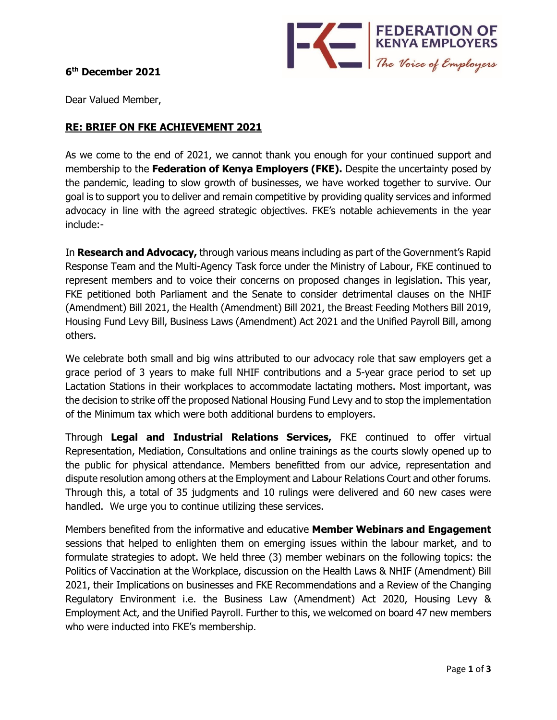

## **6 th December 2021**

Dear Valued Member,

## **RE: BRIEF ON FKE ACHIEVEMENT 2021**

As we come to the end of 2021, we cannot thank you enough for your continued support and membership to the **Federation of Kenya Employers (FKE).** Despite the uncertainty posed by the pandemic, leading to slow growth of businesses, we have worked together to survive. Our goal is to support you to deliver and remain competitive by providing quality services and informed advocacy in line with the agreed strategic objectives. FKE's notable achievements in the year include:-

In **Research and Advocacy,** through various means including as part of the Government's Rapid Response Team and the Multi-Agency Task force under the Ministry of Labour, FKE continued to represent members and to voice their concerns on proposed changes in legislation. This year, FKE petitioned both Parliament and the Senate to consider detrimental clauses on the NHIF (Amendment) Bill 2021, the Health (Amendment) Bill 2021, the Breast Feeding Mothers Bill 2019, Housing Fund Levy Bill, Business Laws (Amendment) Act 2021 and the Unified Payroll Bill, among others.

We celebrate both small and big wins attributed to our advocacy role that saw employers get a grace period of 3 years to make full NHIF contributions and a 5-year grace period to set up Lactation Stations in their workplaces to accommodate lactating mothers. Most important, was the decision to strike off the proposed National Housing Fund Levy and to stop the implementation of the Minimum tax which were both additional burdens to employers.

Through **Legal and Industrial Relations Services,** FKE continued to offer virtual Representation, Mediation, Consultations and online trainings as the courts slowly opened up to the public for physical attendance. Members benefitted from our advice, representation and dispute resolution among others at the Employment and Labour Relations Court and other forums. Through this, a total of 35 judgments and 10 rulings were delivered and 60 new cases were handled. We urge you to continue utilizing these services.

Members benefited from the informative and educative **Member Webinars and Engagement** sessions that helped to enlighten them on emerging issues within the labour market, and to formulate strategies to adopt. We held three (3) member webinars on the following topics: the Politics of Vaccination at the Workplace, discussion on the Health Laws & NHIF (Amendment) Bill 2021, their Implications on businesses and FKE Recommendations and a Review of the Changing Regulatory Environment i.e. the Business Law (Amendment) Act 2020, Housing Levy & Employment Act, and the Unified Payroll. Further to this, we welcomed on board 47 new members who were inducted into FKE's membership.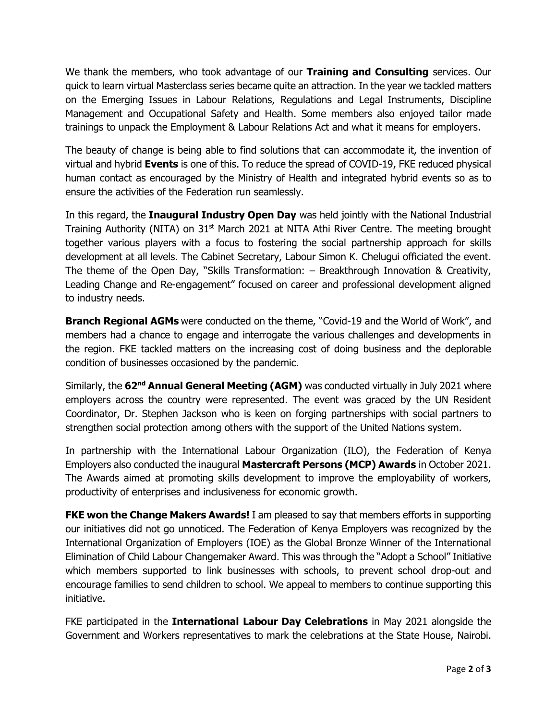We thank the members, who took advantage of our **Training and Consulting** services. Our quick to learn virtual Masterclass series became quite an attraction. In the year we tackled matters on the Emerging Issues in Labour Relations, Regulations and Legal Instruments, Discipline Management and Occupational Safety and Health. Some members also enjoyed tailor made trainings to unpack the Employment & Labour Relations Act and what it means for employers.

The beauty of change is being able to find solutions that can accommodate it, the invention of virtual and hybrid **Events** is one of this. To reduce the spread of COVID-19, FKE reduced physical human contact as encouraged by the Ministry of Health and integrated hybrid events so as to ensure the activities of the Federation run seamlessly.

In this regard, the **Inaugural Industry Open Day** was held jointly with the National Industrial Training Authority (NITA) on  $31<sup>st</sup>$  March 2021 at NITA Athi River Centre. The meeting brought together various players with a focus to fostering the social partnership approach for skills development at all levels. The Cabinet Secretary, Labour Simon K. Chelugui officiated the event. The theme of the Open Day, "Skills Transformation: – Breakthrough Innovation & Creativity, Leading Change and Re-engagement" focused on career and professional development aligned to industry needs.

**Branch Regional AGMs** were conducted on the theme, "Covid-19 and the World of Work", and members had a chance to engage and interrogate the various challenges and developments in the region. FKE tackled matters on the increasing cost of doing business and the deplorable condition of businesses occasioned by the pandemic.

Similarly, the **62nd Annual General Meeting (AGM)** was conducted virtually in July 2021 where employers across the country were represented. The event was graced by the UN Resident Coordinator, Dr. Stephen Jackson who is keen on forging partnerships with social partners to strengthen social protection among others with the support of the United Nations system.

In partnership with the International Labour Organization (ILO), the Federation of Kenya Employers also conducted the inaugural **Mastercraft Persons (MCP) Awards** in October 2021. The Awards aimed at promoting skills development to improve the employability of workers, productivity of enterprises and inclusiveness for economic growth.

**FKE won the Change Makers Awards!** I am pleased to say that members efforts in supporting our initiatives did not go unnoticed. The Federation of Kenya Employers was recognized by the International Organization of Employers (IOE) as the Global Bronze Winner of the International Elimination of Child Labour Changemaker Award. This was through the "Adopt a School" Initiative which members supported to link businesses with schools, to prevent school drop-out and encourage families to send children to school. We appeal to members to continue supporting this initiative.

FKE participated in the **International Labour Day Celebrations** in May 2021 alongside the Government and Workers representatives to mark the celebrations at the State House, Nairobi.